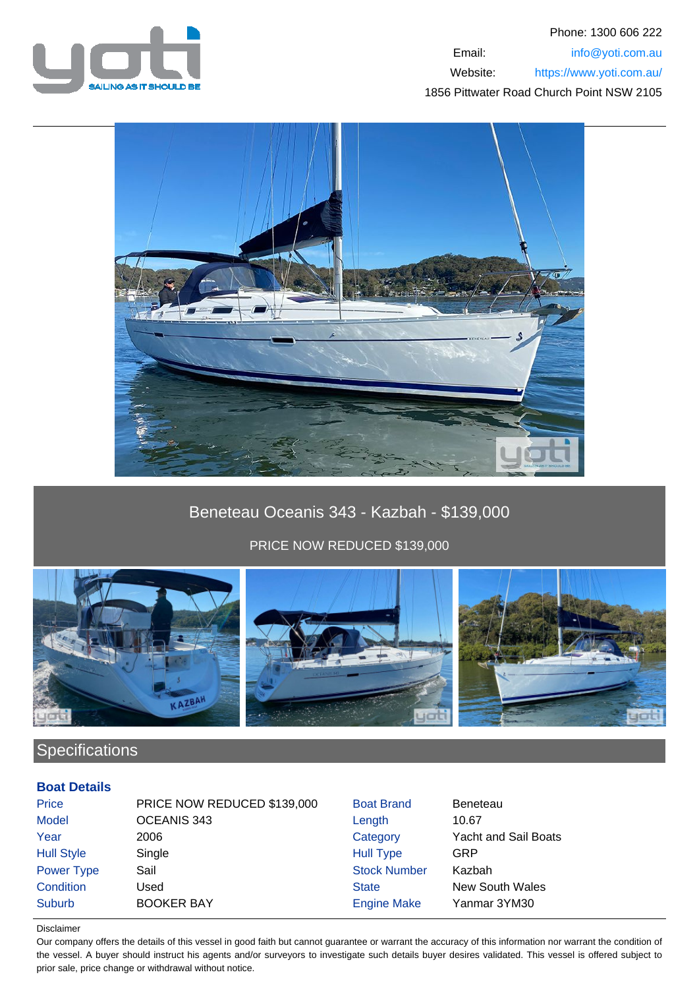



# Beneteau Oceanis 343 - Kazbah - \$139,000

PRICE NOW REDUCED \$139,000



# Specifications

### **Boat Details**

| <b>Price</b>      | PRICE NOW REDUCED \$139,000 | <b>Boat Brand</b>   | <b>Beneteau</b>             |
|-------------------|-----------------------------|---------------------|-----------------------------|
| <b>Model</b>      | OCEANIS 343                 | Length              | 10.67                       |
| Year              | 2006                        | Category            | <b>Yacht and Sail Boats</b> |
| <b>Hull Style</b> | Single                      | <b>Hull Type</b>    | GRP                         |
| Power Type        | Sail                        | <b>Stock Number</b> | Kazbah                      |
| Condition         | Used                        | <b>State</b>        | <b>New South Wales</b>      |
| <b>Suburb</b>     | <b>BOOKER BAY</b>           | <b>Engine Make</b>  | Yanmar 3YM30                |

#### Disclaimer

Our company offers the details of this vessel in good faith but cannot guarantee or warrant the accuracy of this information nor warrant the condition of the vessel. A buyer should instruct his agents and/or surveyors to investigate such details buyer desires validated. This vessel is offered subject to prior sale, price change or withdrawal without notice.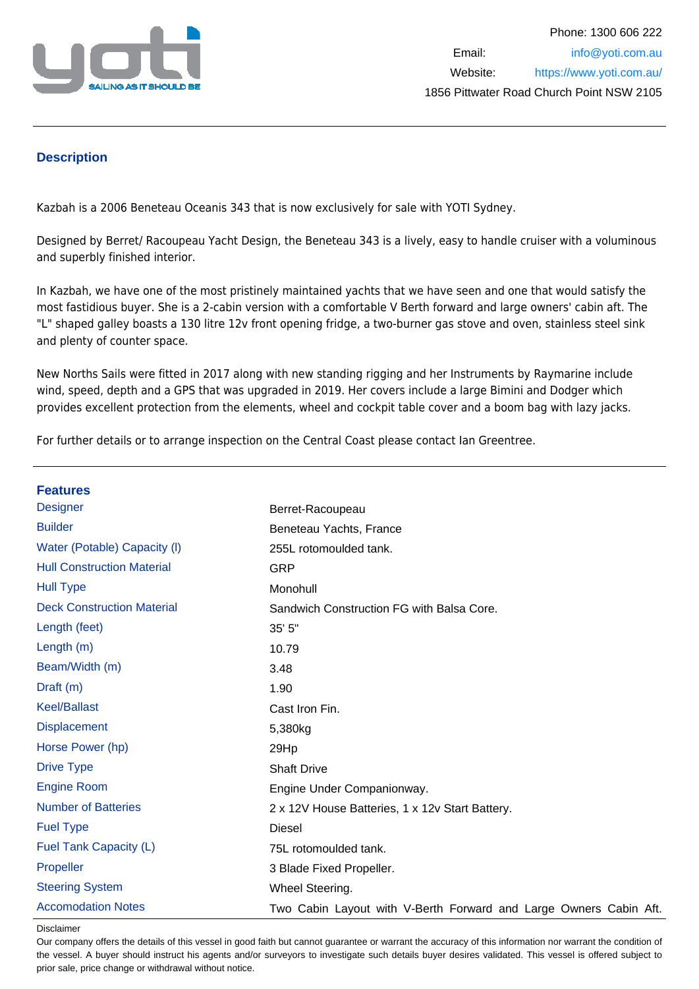

### **Description**

Kazbah is a 2006 Beneteau Oceanis 343 that is now exclusively for sale with YOTI Sydney.

Designed by Berret/ Racoupeau Yacht Design, the Beneteau 343 is a lively, easy to handle cruiser with a voluminous and superbly finished interior.

In Kazbah, we have one of the most pristinely maintained yachts that we have seen and one that would satisfy the most fastidious buyer. She is a 2-cabin version with a comfortable V Berth forward and large owners' cabin aft. The "L" shaped galley boasts a 130 litre 12v front opening fridge, a two-burner gas stove and oven, stainless steel sink and plenty of counter space.

New Norths Sails were fitted in 2017 along with new standing rigging and her Instruments by Raymarine include wind, speed, depth and a GPS that was upgraded in 2019. Her covers include a large Bimini and Dodger which provides excellent protection from the elements, wheel and cockpit table cover and a boom bag with lazy jacks.

For further details or to arrange inspection on the Central Coast please contact Ian Greentree.

| <b>Features</b>                   |                                                                   |
|-----------------------------------|-------------------------------------------------------------------|
| <b>Designer</b>                   | Berret-Racoupeau                                                  |
| <b>Builder</b>                    | Beneteau Yachts, France                                           |
| Water (Potable) Capacity (I)      | 255L rotomoulded tank.                                            |
| <b>Hull Construction Material</b> | <b>GRP</b>                                                        |
| <b>Hull Type</b>                  | Monohull                                                          |
| <b>Deck Construction Material</b> | Sandwich Construction FG with Balsa Core.                         |
| Length (feet)                     | 35' 5"                                                            |
| Length (m)                        | 10.79                                                             |
| Beam/Width (m)                    | 3.48                                                              |
| Draft (m)                         | 1.90                                                              |
| <b>Keel/Ballast</b>               | Cast Iron Fin.                                                    |
| <b>Displacement</b>               | 5,380kg                                                           |
| Horse Power (hp)                  | 29Hp                                                              |
| <b>Drive Type</b>                 | <b>Shaft Drive</b>                                                |
| <b>Engine Room</b>                | Engine Under Companionway.                                        |
| <b>Number of Batteries</b>        | 2 x 12V House Batteries, 1 x 12v Start Battery.                   |
| <b>Fuel Type</b>                  | <b>Diesel</b>                                                     |
| Fuel Tank Capacity (L)            | 75L rotomoulded tank.                                             |
| Propeller                         | 3 Blade Fixed Propeller.                                          |
| <b>Steering System</b>            | Wheel Steering.                                                   |
| <b>Accomodation Notes</b>         | Two Cabin Layout with V-Berth Forward and Large Owners Cabin Aft. |

Disclaimer

Our company offers the details of this vessel in good faith but cannot guarantee or warrant the accuracy of this information nor warrant the condition of the vessel. A buyer should instruct his agents and/or surveyors to investigate such details buyer desires validated. This vessel is offered subject to prior sale, price change or withdrawal without notice.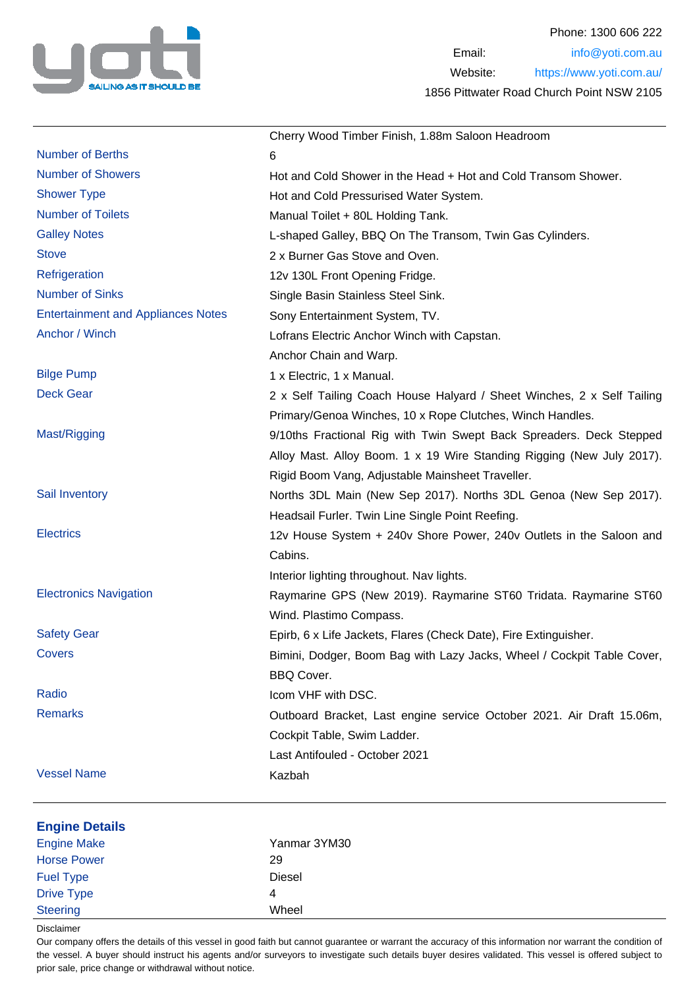

|                                           | Cherry Wood Timber Finish, 1.88m Saloon Headroom                       |
|-------------------------------------------|------------------------------------------------------------------------|
| <b>Number of Berths</b>                   | 6                                                                      |
| <b>Number of Showers</b>                  | Hot and Cold Shower in the Head + Hot and Cold Transom Shower.         |
| <b>Shower Type</b>                        | Hot and Cold Pressurised Water System.                                 |
| <b>Number of Toilets</b>                  | Manual Toilet + 80L Holding Tank.                                      |
| <b>Galley Notes</b>                       | L-shaped Galley, BBQ On The Transom, Twin Gas Cylinders.               |
| <b>Stove</b>                              | 2 x Burner Gas Stove and Oven.                                         |
| Refrigeration                             | 12v 130L Front Opening Fridge.                                         |
| <b>Number of Sinks</b>                    | Single Basin Stainless Steel Sink.                                     |
| <b>Entertainment and Appliances Notes</b> | Sony Entertainment System, TV.                                         |
| Anchor / Winch                            | Lofrans Electric Anchor Winch with Capstan.                            |
|                                           | Anchor Chain and Warp.                                                 |
| <b>Bilge Pump</b>                         | 1 x Electric, 1 x Manual.                                              |
| <b>Deck Gear</b>                          | 2 x Self Tailing Coach House Halyard / Sheet Winches, 2 x Self Tailing |
|                                           | Primary/Genoa Winches, 10 x Rope Clutches, Winch Handles.              |
| Mast/Rigging                              | 9/10ths Fractional Rig with Twin Swept Back Spreaders. Deck Stepped    |
|                                           | Alloy Mast. Alloy Boom. 1 x 19 Wire Standing Rigging (New July 2017).  |
|                                           | Rigid Boom Vang, Adjustable Mainsheet Traveller.                       |
| Sail Inventory                            | Norths 3DL Main (New Sep 2017). Norths 3DL Genoa (New Sep 2017).       |
|                                           | Headsail Furler. Twin Line Single Point Reefing.                       |
| <b>Electrics</b>                          | 12v House System + 240v Shore Power, 240v Outlets in the Saloon and    |
|                                           | Cabins.                                                                |
|                                           | Interior lighting throughout. Nav lights.                              |
| <b>Electronics Navigation</b>             | Raymarine GPS (New 2019). Raymarine ST60 Tridata. Raymarine ST60       |
|                                           | Wind. Plastimo Compass.                                                |
| <b>Safety Gear</b>                        | Epirb, 6 x Life Jackets, Flares (Check Date), Fire Extinguisher.       |
| Covers                                    | Bimini, Dodger, Boom Bag with Lazy Jacks, Wheel / Cockpit Table Cover, |
|                                           | <b>BBQ Cover.</b>                                                      |
| Radio                                     | Icom VHF with DSC.                                                     |
| <b>Remarks</b>                            | Outboard Bracket, Last engine service October 2021. Air Draft 15.06m,  |
|                                           | Cockpit Table, Swim Ladder.                                            |
|                                           | Last Antifouled - October 2021                                         |
| <b>Vessel Name</b>                        | Kazbah                                                                 |
|                                           |                                                                        |
| <b>Engine Details</b>                     |                                                                        |
| <b>Engine Make</b>                        | Yanmar 3YM30                                                           |
| <b>Horse Power</b>                        | 29                                                                     |
| <b>Fuel Type</b>                          | <b>Diesel</b>                                                          |
| <b>Drive Type</b>                         | 4                                                                      |
| <b>Steering</b>                           | Wheel                                                                  |

Disclaimer

Our company offers the details of this vessel in good faith but cannot guarantee or warrant the accuracy of this information nor warrant the condition of the vessel. A buyer should instruct his agents and/or surveyors to investigate such details buyer desires validated. This vessel is offered subject to prior sale, price change or withdrawal without notice.